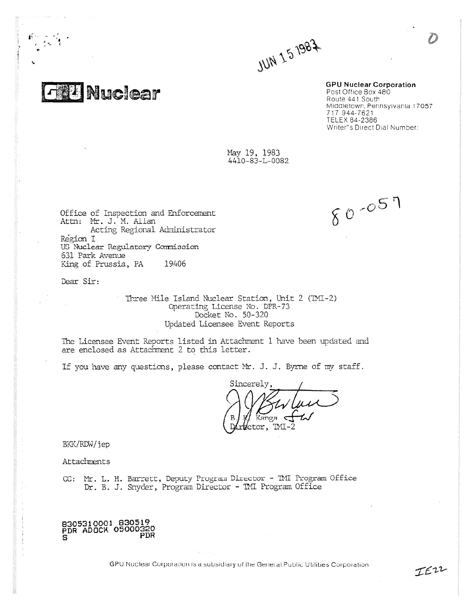**JUN 15 1987** 

**GPU Nuclear Corporation** Post Office Box 480 Route 441 South Middletown, Pennsylvania 17057 717 944 - 7621 TELEX 84-2386 Writer"s Direct Dial Number:

 $80 - 057$ 

May 19, 1983 4410 - 83-L- 0082

Office of Inspection and Enforcement Attn: Mr. J. M. Allan Acting Regional Administrator Region I US Nuclear Regulatory Commission 631 Park Avenue King of Prussia, PA 19406

**Nuclear** 

Dear Sir:

Three Mile Island Nuclear Station, Unit 2 (TMI-2) Operating License No. DPR- 73 Docket No. 50-320 Updated Licensee Event Reports

The Licensee Event Reports listed in Attachment 1 have been updated and are enclosed as Attachment 2 to this letter.

If you have any questions, please contact Mr. J. J. Byrne of my staff.

Sincerely, Yanga ctor, TMI - 2

BKK/RDW/jep

Attachments

CC: Mt. L. H. Barrett, Deputy Program Director - TNI Program Office Dr. B. J. Snyder, Program Director - TMI Program Office

8305310001 830519 PDR ADOCK 05000320 PDR

GPU Nuclear Corporation is a subsidiary of the General Public Utilities Corporation

IEN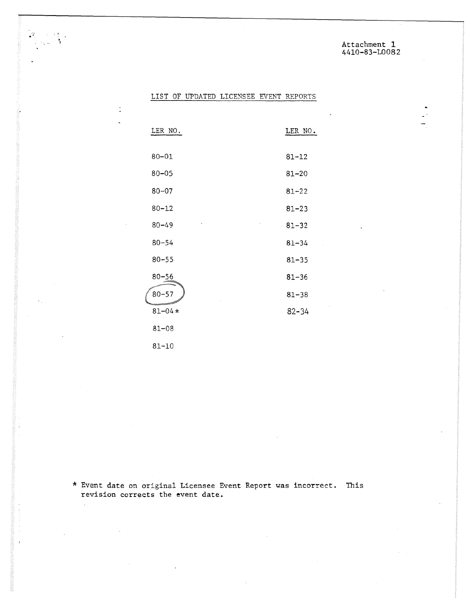Attachment 1 4410-83-L0082

# LIST OF UPDATED LICENSEE EVENT REPORTS

| LER NO.    | LER NO.   |
|------------|-----------|
|            |           |
| $80 - 01$  | $81 - 12$ |
| $80 - 05$  | $81 - 20$ |
| $80 - 07$  | $81 - 22$ |
| $80 - 12$  | $81 - 23$ |
| $80 - 49$  | $81 - 32$ |
| $80 - 54$  | $81 - 34$ |
| $80 - 55$  | $81 - 35$ |
| $80 - 56$  | $81 - 36$ |
| $80 - 57$  | $81 - 38$ |
| $81 - 04*$ | $82 - 34$ |
| $81 - 08$  |           |
|            |           |

81-10

 $\mathcal{L}$ 

 $\tilde{\mathbf{r}}$ 

 $\ddot{\phantom{0}}$ 

\* Event date on original Licensee Event Report was incorrect. This revision corrects the event date.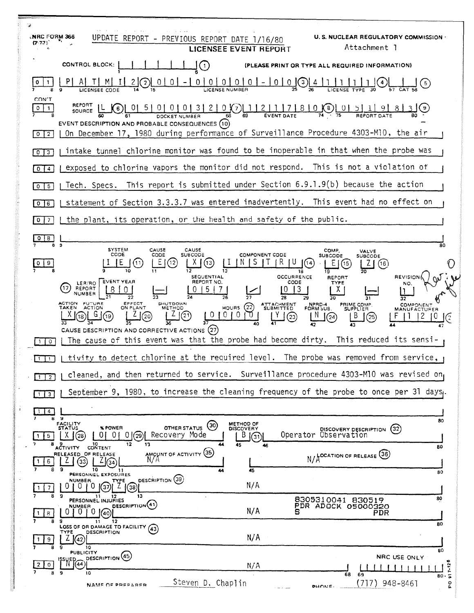| 7                                                                                                                                                                                   |                                                                                                                                                                                                                                                                                                                                       |  |
|-------------------------------------------------------------------------------------------------------------------------------------------------------------------------------------|---------------------------------------------------------------------------------------------------------------------------------------------------------------------------------------------------------------------------------------------------------------------------------------------------------------------------------------|--|
| NRC FORM 366)                                                                                                                                                                       | U.S. NUCLEAR REGULATORY COMMISSION .<br>UPDATE<br>REPORT - PREVIOUS REPORT DATE<br>1/16/80<br>Attachment 1<br><b>LICENSEE EVENT REPORT</b>                                                                                                                                                                                            |  |
|                                                                                                                                                                                     | CONTROL BLOCK:<br>(PLEASE PRINT OR TYPE ALL REQUIRED INFORMATION)<br>$(\mathbf{1})$                                                                                                                                                                                                                                                   |  |
| $\underbrace{0\; \;0\; \;0\; \;0\; \;0\; \;0\; \;- \;0\; \;0}{\text{LICESes numbers}}$<br>(2)                                                                                       |                                                                                                                                                                                                                                                                                                                                       |  |
| CON'T<br>0<br>EVENT DESCRIPTION AND PROBABLE CONSEQUENCES (10)<br>On December 17, 1980 during performance of Surveillance Procedure 4303-M10, the air<br>$\vert 2 \vert$<br>$\circ$ |                                                                                                                                                                                                                                                                                                                                       |  |
| intake tunnel chlorine monitor was found to be inoperable in that when the probe was<br>$\vert$ 3<br>$\circ$                                                                        |                                                                                                                                                                                                                                                                                                                                       |  |
| 4<br>0                                                                                                                                                                              | exposed to chlorine vapors the monitor did not respond. This is not a violation of                                                                                                                                                                                                                                                    |  |
| 5<br>$\mathbf{o}$                                                                                                                                                                   | This report is submitted under Section 6.9.1.9(b) because the action<br>Tech. Specs.                                                                                                                                                                                                                                                  |  |
| $\circ$<br>16                                                                                                                                                                       | statement of Section 3.3.3.7 was entered inadvertently. This event had no effect on                                                                                                                                                                                                                                                   |  |
|                                                                                                                                                                                     | the plant, its operation, or the health and safety of the public.                                                                                                                                                                                                                                                                     |  |
| 8                                                                                                                                                                                   |                                                                                                                                                                                                                                                                                                                                       |  |
|                                                                                                                                                                                     | 80<br><b>SYSTEM</b><br>CAUSE<br>CAUSE<br>COMP.<br>VALVE<br>CODE<br><b>COMPONENT CODE</b><br>CODE<br>SUBCODE<br><b>SUBCODE</b><br><b>SUBCODE</b>                                                                                                                                                                                       |  |
| 9                                                                                                                                                                                   | (12<br>(13)<br>(16)<br>15<br>L<br>19<br><b>OCCURRENCE</b><br>SEQUENTIAL<br><b>REVISION</b><br>REPORT                                                                                                                                                                                                                                  |  |
|                                                                                                                                                                                     | <b>EVENT YEAR</b><br>REPORT NO.<br>CODE<br>LER/RO<br><b>TYPE</b><br>NO.<br>REPORT<br>NUMBER                                                                                                                                                                                                                                           |  |
|                                                                                                                                                                                     | 28<br>ACTION FUTURE<br>EFFECT<br>ON PLANT<br>SHUTDOWN<br>ATTACHMENT<br>SUBMITTED<br>NPRD-4<br>FORM SUB.<br>PRIME COMP.<br>SUPPLIER<br><b>COMPONENT</b><br>HOURS $(22)$<br><b>TAKEN</b><br>ACTION<br><b>METHOD</b><br><b>MANUFACTURER</b><br>0<br>0<br>$^{(23)}$<br>(24)<br>$^{[25]}$<br>CAUSE DESCRIPTION AND CORRECTIVE ACTIONS (27) |  |
| $\mathbf{O}$                                                                                                                                                                        | The cause of this event was that the probe had become dirty. This reduced its sensi-                                                                                                                                                                                                                                                  |  |
|                                                                                                                                                                                     | tivity to detect chlorine at the required level. The probe was removed from service,                                                                                                                                                                                                                                                  |  |
| 2                                                                                                                                                                                   | cleaned, and then returned to service. Surveillance procedure 4303-M10 was revised on,                                                                                                                                                                                                                                                |  |
| $\overline{\mathbf{3}}$                                                                                                                                                             | September 9, 1980, to increase the cleaning frequency of the probe to once per 31 days.                                                                                                                                                                                                                                               |  |
| $\sim$<br>8                                                                                                                                                                         | - 9                                                                                                                                                                                                                                                                                                                                   |  |
| 5.<br>я                                                                                                                                                                             | 80<br><b>FACILITY</b><br>METHOD OF<br>(30)<br><b>% POWER</b><br>OTHER STATUS<br><b>STATUS</b><br><b>DISCOVERY</b><br>(32)<br>DISCOVERY DESCRIPTION<br>Recovery Mode<br>01<br>0(0 (29)<br>$\sqrt{28}$<br>B(3)<br>X.<br>12<br>13<br>10<br>45<br>44<br>46                                                                                |  |
| 6.                                                                                                                                                                                  | 80<br>CONTENT<br><b>ACTIVITY</b><br>AMOUNT OF ACTIVITY (35)<br>RELEASED OF RELEASE<br>$N/\text{\AA}^{\text{OCATION OF RELEASE}}$ (36)<br>'33                                                                                                                                                                                          |  |
| 8                                                                                                                                                                                   | -9<br>10<br>45<br>11<br>80<br>PERSONNEL EXPOSURES<br>DESCRIPTION (39)<br><b>NUMBER</b>                                                                                                                                                                                                                                                |  |
| 7                                                                                                                                                                                   | TYPE<br>N/A<br>0<br>-0 F<br>37)<br>38<br>9<br>13                                                                                                                                                                                                                                                                                      |  |
| 8<br>8                                                                                                                                                                              | 11 12<br>PERSONNEL INJURIES<br>80<br>8305310041 830519<br>DESCRIPTION <sup>(41)</sup><br>PDR ADOCK 05000320<br><b>NUMBER</b><br>N/A<br>010(40)<br>5<br>PDR<br>-9<br>12<br>11                                                                                                                                                          |  |
| 9                                                                                                                                                                                   | 80<br>LOSS OF OR DAMAGE TO FACILITY (43)<br><b>DESCRIPTION</b><br>TYPE<br>N/A<br>(42)<br>10                                                                                                                                                                                                                                           |  |
| $\Omega$<br>8                                                                                                                                                                       | 80<br><b>PUBLICITY</b><br>DESCRIPTION <sup>(45)</sup><br>NRC USE ONLY<br>(44)<br>N/A<br>7.12<br>9<br>10                                                                                                                                                                                                                               |  |
|                                                                                                                                                                                     | 68<br>69<br>$\overline{\bullet}$<br>$80 -$<br>Steven D. Chaplin<br>(717)<br>948-8461<br>po<br>NAME OF PREPARER<br>DHONE.                                                                                                                                                                                                              |  |